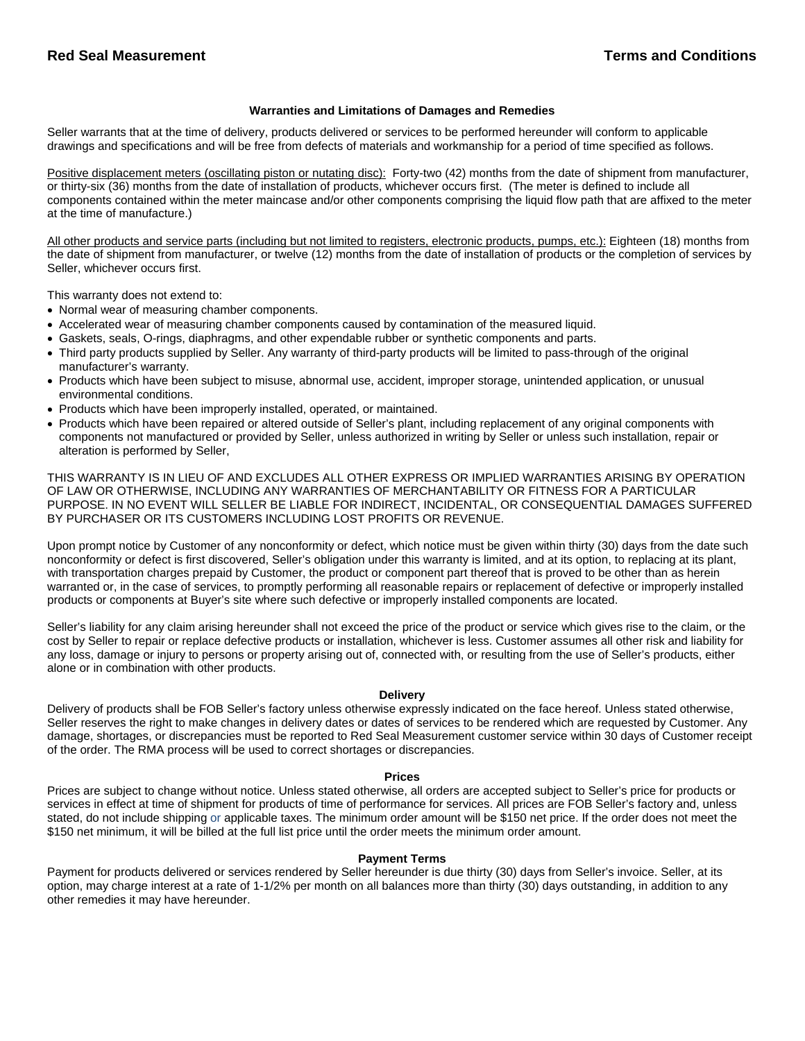### **Warranties and Limitations of Damages and Remedies**

Seller warrants that at the time of delivery, products delivered or services to be performed hereunder will conform to applicable drawings and specifications and will be free from defects of materials and workmanship for a period of time specified as follows.

Positive displacement meters (oscillating piston or nutating disc): Forty-two (42) months from the date of shipment from manufacturer, or thirty-six (36) months from the date of installation of products, whichever occurs first. (The meter is defined to include all components contained within the meter maincase and/or other components comprising the liquid flow path that are affixed to the meter at the time of manufacture.)

All other products and service parts (including but not limited to registers, electronic products, pumps, etc.): Eighteen (18) months from the date of shipment from manufacturer, or twelve (12) months from the date of installation of products or the completion of services by Seller, whichever occurs first.

This warranty does not extend to:

- Normal wear of measuring chamber components.
- Accelerated wear of measuring chamber components caused by contamination of the measured liquid.
- Gaskets, seals, O-rings, diaphragms, and other expendable rubber or synthetic components and parts.
- Third party products supplied by Seller. Any warranty of third-party products will be limited to pass-through of the original manufacturer's warranty.
- Products which have been subject to misuse, abnormal use, accident, improper storage, unintended application, or unusual environmental conditions.
- Products which have been improperly installed, operated, or maintained.
- Products which have been repaired or altered outside of Seller's plant, including replacement of any original components with components not manufactured or provided by Seller, unless authorized in writing by Seller or unless such installation, repair or alteration is performed by Seller,

THIS WARRANTY IS IN LIEU OF AND EXCLUDES ALL OTHER EXPRESS OR IMPLIED WARRANTIES ARISING BY OPERATION OF LAW OR OTHERWISE, INCLUDING ANY WARRANTIES OF MERCHANTABILITY OR FITNESS FOR A PARTICULAR PURPOSE. IN NO EVENT WILL SELLER BE LIABLE FOR INDIRECT, INCIDENTAL, OR CONSEQUENTIAL DAMAGES SUFFERED BY PURCHASER OR ITS CUSTOMERS INCLUDING LOST PROFITS OR REVENUE.

Upon prompt notice by Customer of any nonconformity or defect, which notice must be given within thirty (30) days from the date such nonconformity or defect is first discovered, Seller's obligation under this warranty is limited, and at its option, to replacing at its plant, with transportation charges prepaid by Customer, the product or component part thereof that is proved to be other than as herein warranted or, in the case of services, to promptly performing all reasonable repairs or replacement of defective or improperly installed products or components at Buyer's site where such defective or improperly installed components are located.

Seller's liability for any claim arising hereunder shall not exceed the price of the product or service which gives rise to the claim, or the cost by Seller to repair or replace defective products or installation, whichever is less. Customer assumes all other risk and liability for any loss, damage or injury to persons or property arising out of, connected with, or resulting from the use of Seller's products, either alone or in combination with other products.

#### **Delivery**

Delivery of products shall be FOB Seller's factory unless otherwise expressly indicated on the face hereof. Unless stated otherwise, Seller reserves the right to make changes in delivery dates or dates of services to be rendered which are requested by Customer. Any damage, shortages, or discrepancies must be reported to Red Seal Measurement customer service within 30 days of Customer receipt of the order. The RMA process will be used to correct shortages or discrepancies.

#### **Prices**

Prices are subject to change without notice. Unless stated otherwise, all orders are accepted subject to Seller's price for products or services in effect at time of shipment for products of time of performance for services. All prices are FOB Seller's factory and, unless stated, do not include shipping or applicable taxes. The minimum order amount will be \$150 net price. If the order does not meet the \$150 net minimum, it will be billed at the full list price until the order meets the minimum order amount.

### **Payment Terms**

Payment for products delivered or services rendered by Seller hereunder is due thirty (30) days from Seller's invoice. Seller, at its option, may charge interest at a rate of 1-1/2% per month on all balances more than thirty (30) days outstanding, in addition to any other remedies it may have hereunder.